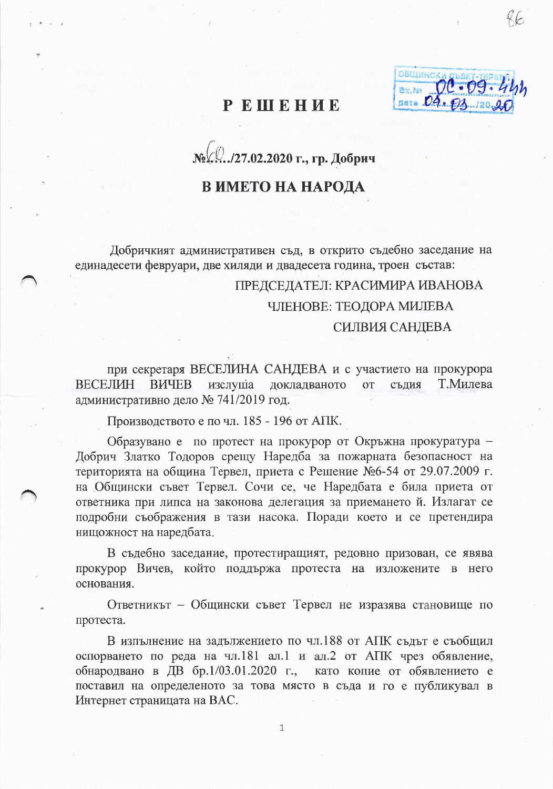## **PEHEHUE**

ОБШИНС nata .O.

№ № 27.02.2020 г., гр. Добрич

## В ИМЕТО НА НАРОДА

Добричкият административен съд, в открито съдебно заседание на единадесети февруари, две хиляди и двадесета година, троен състав:

## ГІРЕДСЕДАТЕЛ: КРАСИМИРА ИВАНОВА ЧЛЕНОВЕ: ТЕОДОРА МИЛЕВА СИЛВИЯ САНДЕВА

при секретаря ВЕСЕЛИНА САНДЕВА и с участието на прокурора **ВЕСЕЛИН BIJYEB** Т.Милева докладваното изслуша **OT** сълия административно дело № 741/2019 год.

Производството е по чл. 185 - 196 от АПК.

Образувано е по протест на прокурор от Окръжна прокуратура -Добрич Златко Тодоров срещу Наредба за пожарната безопасност на територията на община Тервел, приета с Решение №6-54 от 29.07.2009 г. на Общински съвет Тервел. Сочи се, че Наредбата е била приета от ответника при липса на законова делегация за приемането й. Излагат се подробни съображения в тази насока. Поради което и се претендира нищожност на наредбата.

В съдебно заседание, протестиращият, редовно призован, се явява прокурор Вичев, който поддържа протеста на изложените в него основания.

Ответникът – Общински съвет Тервел не изразява становище по протеста.

В изпълнение на задължението по чл.188 от АПК съдът е съобщил оспорването по реда на чл.181 ал.1 и ал.2 от АПК чрез обявление, обнародвано в ДВ бр.1/03.01.2020 г., като копие от обявлението е поставил на определеното за това място в съда и го е публикувал в Интернет страницата на ВАС.

1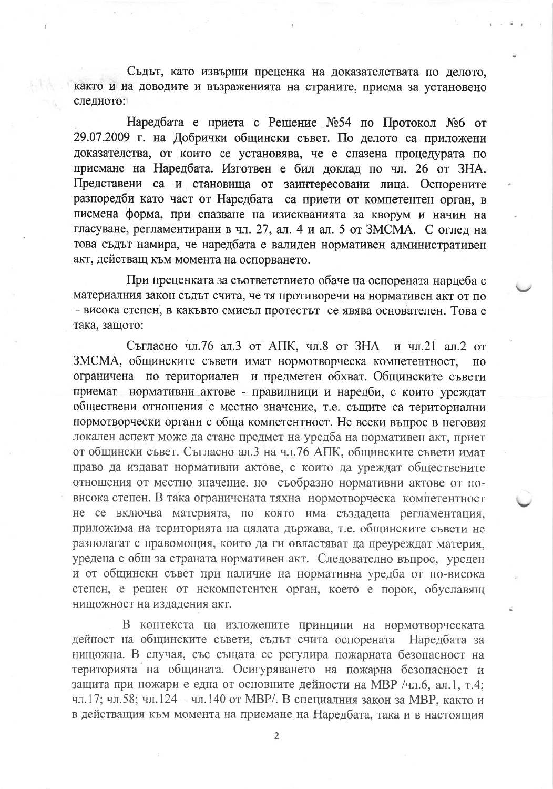Съдът, като извърши преценка на доказателствата по делото, както и на доводите и възраженията на страните, приема за установено следното:

Наредбата е приета с Решение №54 по Протокол №6 от 29.07.2009 г. на Добрички общински съвет. По делото са приложени доказателства, от които се установява, че е спазена процедурата по приемане на Наредбата. Изготвен е бил доклад по чл. 26 от ЗНА. Представени са и становища от заинтересовани лица. Оспорените разпоредби като част от Наредбата са приети от компетентен орган. в писмена форма, при спазване на изискванията за кворум и начин на гласуване, регламентирани в чл. 27, ал. 4 и ал. 5 от ЗМСМА. С оглед на това съдът намира, че наредбата е валиден нормативен административен акт, действащ към момента на оспорването.

При преценката за съответствието обаче на оспорената нардеба с материалния закон съдът счита, че тя противоречи на нормативен акт от по - висока степен, в какъвто смисъл протестът се явява основателен. Това е така, защото:

Съгласно чл.76 ал.3 от АПК, чл.8 от ЗНА и чл.21 ал.2 от ЗМСМА, общинските съвети имат нормотворческа компетентност, HO ограничена по териториален и предметен обхват. Общинските съвети приемат нормативни актове - правилници и наредби, с които уреждат обществени отношения с местно значение, т.е. същите са териториални нормотворчески органи с обща компетентност. Не всеки въпрос в неговия локален аспект може да стане предмет на уредба на нормативен акт, приет от общински съвет. Съгласно ал.3 на чл.76 АПК, общинските съвети имат право да издават нормативни актове, с които да уреждат обществените отношения от местно значение, но съобразно нормативни актове от повисока степен. В така ограничената тяхна нормотворческа компетентност не се включва материята, по която има създадена регламентация, приложима на територията на цялата държава, т.е. общинските съвети не разполагат с правомощия, които да ги овластяват да преуреждат материя, уредена с общ за страната нормативен акт. Следователно въпрос, уреден и от общински съвет при наличие на нормативна уредба от по-висока степен, е решен от некомпетентен орган, което е порок, обуславящ нищожност на издадения акт.

В контекста на изложените принципи на нормотворческата дейност на общинските съвети, съдът счита оспорената Наредбата за нищожна. В случая, със същата се регулира пожарната безопасност на територията на общината. Осигуряването на пожарна безопасност и защита при пожари е една от основните дейности на МВР /чл.6, ал.1, т.4; чл.17; чл.58; чл.124 - чл.140 от МВР/. В специалния закон за МВР, както и в действащия към момента на приемане на Наредбата, така и в настоящия

 $\overline{2}$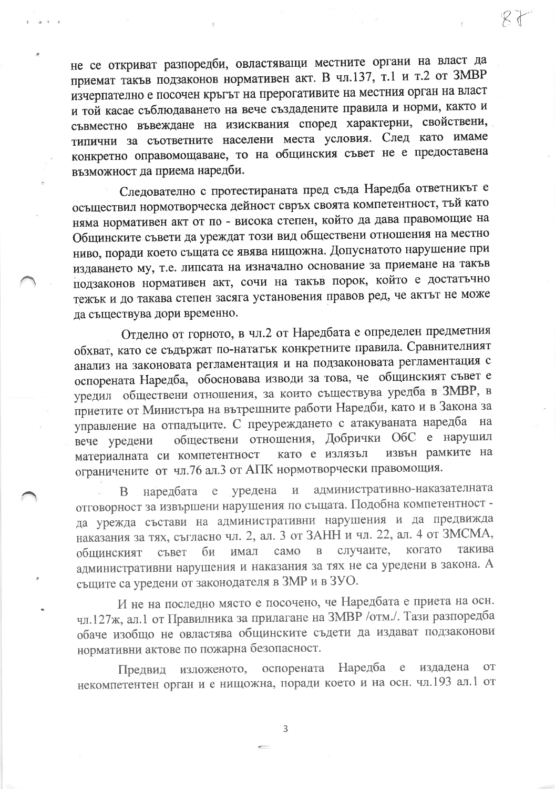не се откриват разпоредби, овластяващи местните органи на власт да приемат такъв подзаконов нормативен акт. В чл.137, т.1 и т.2 от ЗМВР изчерпателно е посочен кръгът на прерогативите на местния орган на власт и той касае съблюдаването на вече създадените правила и норми, както и съвместно въвеждане на изисквания според характерни, свойствени, типични за съответните населени места условия. След като имаме конкретно оправомощаване, то на общинския съвет не е предоставена възможност да приема наредби.

Следователно с протестираната пред съда Наредба ответникът е осъществил нормотворческа дейност свръх своята компетентност, тъй като няма нормативен акт от по - висока степен, който да дава правомощие на Общинските съвети да уреждат този вид обществени отношения на местно ниво, поради което същата се явява нищожна. Допуснатото нарушение при издаването му, т.е. липсата на изначално основание за приемане на такъв подзаконов нормативен акт, сочи на такъв порок, който е достатъчно тежък и до такава степен засяга установения правов ред, че актът не може да съществува дори временно.

Отделно от горното, в чл.2 от Наредбата е определен предметния обхват, като се съдържат по-нататък конкретните правила. Сравнителният анализ на законовата регламентация и на подзаконовата регламентация с оспорената Наредба, обосновава изводи за това, че общинският съвет е уредил обществени отношения, за които съществува уредба в ЗМВР, в приетите от Министъра на вътрешните работи Наредби, като и в Закона за управление на отпадъците. С преуреждането с атакуваната наредба на обществени отношения, Добрички ОбС е нарушил вече уредени извън рамките на като е излязъл материалната си компетентност ограничените от чл.76 ал.3 от АПК нормотворчески правомощия.

административно-наказателната уредена  $\overline{\mathbf{M}}$ наредбата  $\mathbf e$ B отговорност за извършени нарушения по същата. Подобна компетентност да урежда състави на административни нарушения и да предвижда наказания за тях, съгласно чл. 2, ал. 3 от ЗАНН и чл. 22, ал. 4 от ЗМСМА, случаите, когато такива  $\overline{B}$ би имал само съвет общинският административни нарушения и наказания за тях не са уредени в закона. А същите са уредени от законодателя в ЗМР и в ЗУО.

И не на последно място е посочено, че Наредбата е приета на осн. чл.127ж, ал.1 от Правилника за прилагане на ЗМВР /отм./. Тази разпоредба обаче изобщо не овластява общинските съдети да издават подзаконови нормативни актове по пожарна безопасност.

изложеното, оспорената Наредба издадена  $-e$ **OT** Предвид некомпетентен орган и е нищожна, поради което и на осн. чл.193 ал.1 от

3